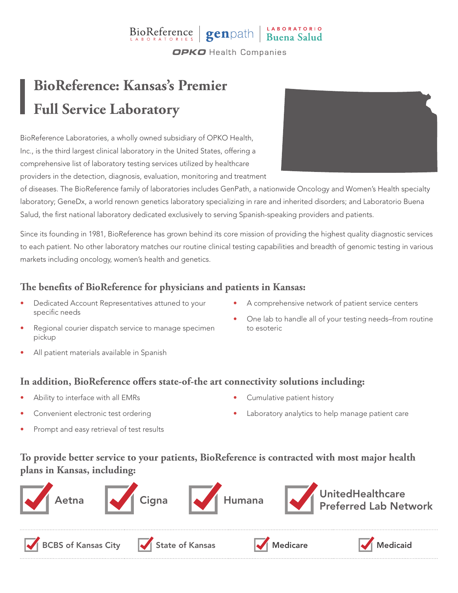## BioReference genpath Buena Salud **OPKO** Health Companies

# **BioReference: Kansas's Premier Full Service Laboratory**

BioReference Laboratories, a wholly owned subsidiary of OPKO Health, Inc., is the third largest clinical laboratory in the United States, offering a comprehensive list of laboratory testing services utilized by healthcare providers in the detection, diagnosis, evaluation, monitoring and treatment



of diseases. The BioReference family of laboratories includes GenPath, a nationwide Oncology and Women's Health specialty laboratory; GeneDx, a world renown genetics laboratory specializing in rare and inherited disorders; and Laboratorio Buena Salud, the first national laboratory dedicated exclusively to serving Spanish-speaking providers and patients.

Since its founding in 1981, BioReference has grown behind its core mission of providing the highest quality diagnostic services to each patient. No other laboratory matches our routine clinical testing capabilities and breadth of genomic testing in various markets including oncology, women's health and genetics.

### **The benefits of BioReference for physicians and patients in Kansas:**

- Dedicated Account Representatives attuned to your specific needs
- A comprehensive network of patient service centers
- Regional courier dispatch service to manage specimen pickup
- One lab to handle all of your testing needs–from routine to esoteric

All patient materials available in Spanish

#### **In addition, BioReference offers state-of-the art connectivity solutions including:**

- Ability to interface with all EMRs
- Convenient electronic test ordering
- Prompt and easy retrieval of test results
- Cumulative patient history
- Laboratory analytics to help manage patient care

### **To provide better service to your patients, BioReference is contracted with most major health plans in Kansas, including:**